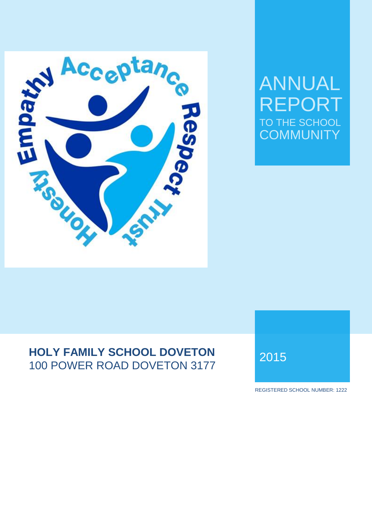

# ANNUAL FPORT TO THE SCHOOL **COMMUNITY**

# **HOLY FAMILY SCHOOL DOVETON HOLY FAMILY SCHOOL DOVETON 2015**

REGISTERED SCHOOL NUMBER: 1222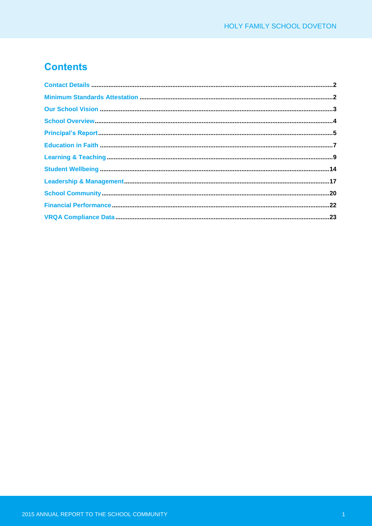# **Contents**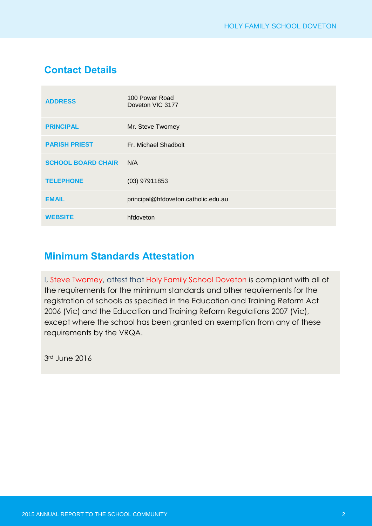# **Contact Details**

| <b>ADDRESS</b>            | 100 Power Road<br>Doveton VIC 3177  |
|---------------------------|-------------------------------------|
| <b>PRINCIPAL</b>          | Mr. Steve Twomey                    |
| <b>PARISH PRIEST</b>      | Fr. Michael Shadbolt                |
| <b>SCHOOL BOARD CHAIR</b> | N/A                                 |
| <b>TELEPHONE</b>          | $(03)$ 97911853                     |
| <b>EMAIL</b>              | principal@hfdoveton.catholic.edu.au |
| <b>WEBSITE</b>            | hfdoveton                           |

### **Minimum Standards Attestation**

I, Steve Twomey, attest that Holy Family School Doveton is compliant with all of the requirements for the minimum standards and other requirements for the registration of schools as specified in the Education and Training Reform Act 2006 (Vic) and the Education and Training Reform Regulations 2007 (Vic), except where the school has been granted an exemption from any of these requirements by the VRQA.

3rd June 2016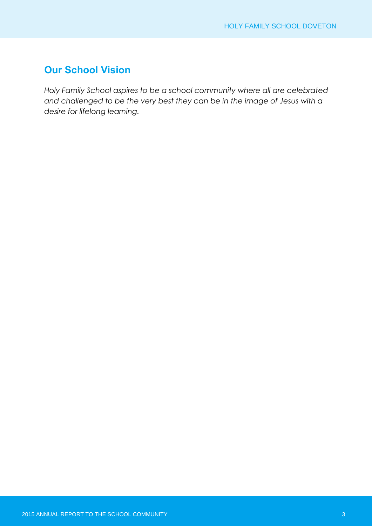### **Our School Vision**

*Holy Family School aspires to be a school community where all are celebrated and challenged to be the very best they can be in the image of Jesus with a desire for lifelong learning.*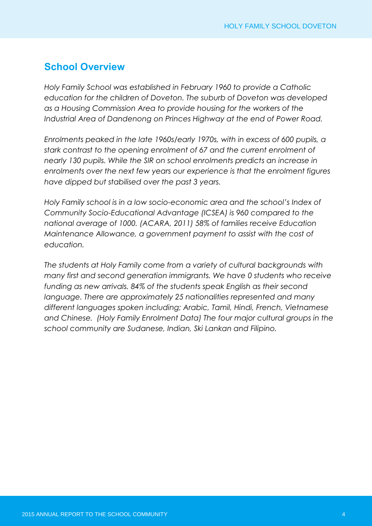### **School Overview**

*Holy Family School was established in February 1960 to provide a Catholic education for the children of Doveton. The suburb of Doveton was developed as a Housing Commission Area to provide housing for the workers of the Industrial Area of Dandenong on Princes Highway at the end of Power Road.* 

*Enrolments peaked in the late 1960s/early 1970s, with in excess of 600 pupils, a stark contrast to the opening enrolment of 67 and the current enrolment of nearly 130 pupils. While the SIR on school enrolments predicts an increase in enrolments over the next few years our experience is that the enrolment figures have dipped but stabilised over the past 3 years.*

*Holy Family school is in a low socio-economic area and the school's Index of Community Socio-Educational Advantage (ICSEA) is 960 compared to the national average of 1000. (ACARA, 2011) 58% of families receive Education Maintenance Allowance, a government payment to assist with the cost of education.* 

*The students at Holy Family come from a variety of cultural backgrounds with many first and second generation immigrants. We have 0 students who receive funding as new arrivals. 84% of the students speak English as their second language. There are approximately 25 nationalities represented and many different languages spoken including; Arabic, Tamil, Hindi, French, Vietnamese and Chinese. (Holy Family Enrolment Data) The four major cultural groups in the school community are Sudanese, Indian, Ski Lankan and Filipino.*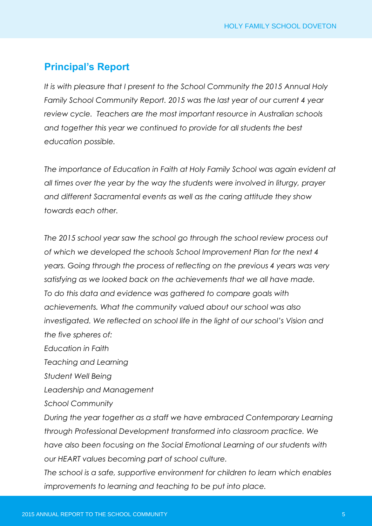# **Principal's Report**

*It is with pleasure that I present to the School Community the 2015 Annual Holy Family School Community Report. 2015 was the last year of our current 4 year review cycle. Teachers are the most important resource in Australian schools and together this year we continued to provide for all students the best education possible.* 

*The importance of Education in Faith at Holy Family School was again evident at all times over the year by the way the students were involved in liturgy, prayer and different Sacramental events as well as the caring attitude they show towards each other.* 

*The 2015 school year saw the school go through the school review process out of which we developed the schools School Improvement Plan for the next 4 years. Going through the process of reflecting on the previous 4 years was very satisfying as we looked back on the achievements that we all have made. To do this data and evidence was gathered to compare goals with achievements. What the community valued about our school was also investigated. We reflected on school life in the light of our school's Vision and the five spheres of:*

*Education in Faith Teaching and Learning Student Well Being Leadership and Management School Community During the year together as a staff we have embraced Contemporary Learning through Professional Development transformed into classroom practice. We have also been focusing on the Social Emotional Learning of our students with our HEART values becoming part of school culture.*

*The school is a safe, supportive environment for children to learn which enables improvements to learning and teaching to be put into place.*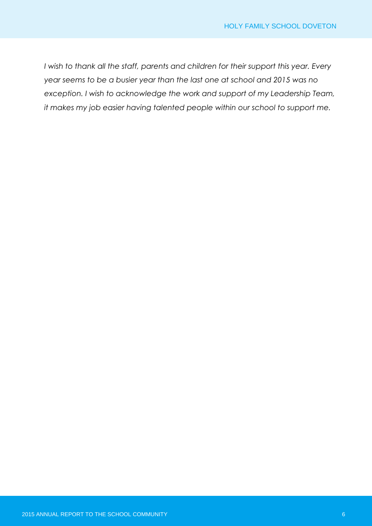*I wish to thank all the staff, parents and children for their support this year. Every year seems to be a busier year than the last one at school and 2015 was no exception. I wish to acknowledge the work and support of my Leadership Team, it makes my job easier having talented people within our school to support me.*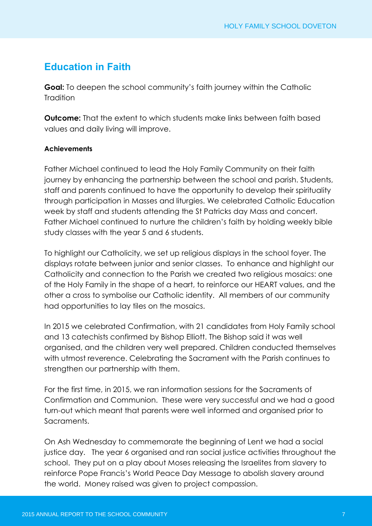# **Education in Faith**

**Goal:** To deepen the school community's faith journey within the Catholic **Tradition** 

**Outcome:** That the extent to which students make links between faith based values and daily living will improve.

### **Achievements**

Father Michael continued to lead the Holy Family Community on their faith journey by enhancing the partnership between the school and parish. Students, staff and parents continued to have the opportunity to develop their spirituality through participation in Masses and liturgies. We celebrated Catholic Education week by staff and students attending the St Patricks day Mass and concert. Father Michael continued to nurture the children's faith by holding weekly bible study classes with the year 5 and 6 students.

To highlight our Catholicity, we set up religious displays in the school foyer. The displays rotate between junior and senior classes. To enhance and highlight our Catholicity and connection to the Parish we created two religious mosaics: one of the Holy Family in the shape of a heart, to reinforce our HEART values, and the other a cross to symbolise our Catholic identity. All members of our community had opportunities to lay tiles on the mosaics.

In 2015 we celebrated Confirmation, with 21 candidates from Holy Family school and 13 catechists confirmed by Bishop Elliott. The Bishop said it was well organised, and the children very well prepared. Children conducted themselves with utmost reverence. Celebrating the Sacrament with the Parish continues to strengthen our partnership with them.

For the first time, in 2015, we ran information sessions for the Sacraments of Confirmation and Communion. These were very successful and we had a good turn-out which meant that parents were well informed and organised prior to Sacraments.

On Ash Wednesday to commemorate the beginning of Lent we had a social justice day. The year 6 organised and ran social justice activities throughout the school. They put on a play about Moses releasing the Israelites from slavery to reinforce Pope Francis's World Peace Day Message to abolish slavery around the world. Money raised was given to project compassion.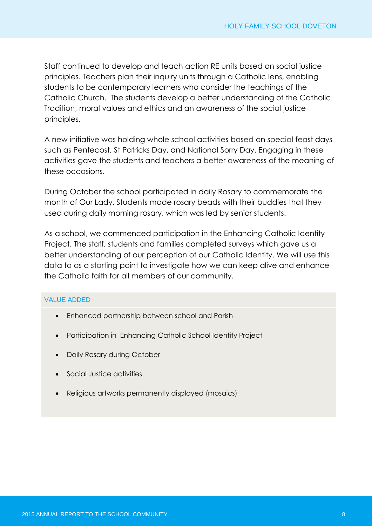Staff continued to develop and teach action RE units based on social justice principles. Teachers plan their inquiry units through a Catholic lens, enabling students to be contemporary learners who consider the teachings of the Catholic Church. The students develop a better understanding of the Catholic Tradition, moral values and ethics and an awareness of the social justice principles.

A new initiative was holding whole school activities based on special feast days such as Pentecost, St Patricks Day, and National Sorry Day. Engaging in these activities gave the students and teachers a better awareness of the meaning of these occasions.

During October the school participated in daily Rosary to commemorate the month of Our Lady. Students made rosary beads with their buddies that they used during daily morning rosary, which was led by senior students.

As a school, we commenced participation in the Enhancing Catholic Identity Project. The staff, students and families completed surveys which gave us a better understanding of our perception of our Catholic Identity. We will use this data to as a starting point to investigate how we can keep alive and enhance the Catholic faith for all members of our community.

#### VALUE ADDED

- Enhanced partnership between school and Parish
- Participation in Enhancing Catholic School Identity Project
- Daily Rosary during October
- Social Justice activities
- Religious artworks permanently displayed (mosaics)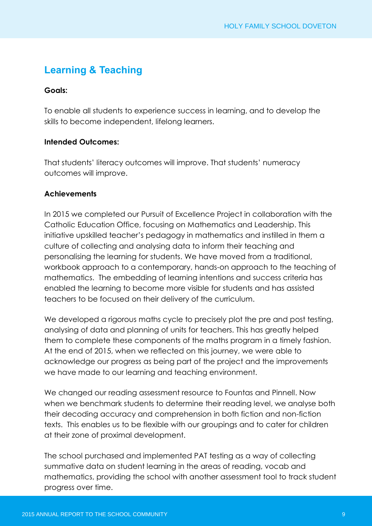# **Learning & Teaching**

### **Goals:**

To enable all students to experience success in learning, and to develop the skills to become independent, lifelong learners.

### **Intended Outcomes:**

That students' literacy outcomes will improve. That students' numeracy outcomes will improve.

### **Achievements**

In 2015 we completed our Pursuit of Excellence Project in collaboration with the Catholic Education Office, focusing on Mathematics and Leadership. This initiative upskilled teacher's pedagogy in mathematics and instilled in them a culture of collecting and analysing data to inform their teaching and personalising the learning for students. We have moved from a traditional, workbook approach to a contemporary, hands-on approach to the teaching of mathematics. The embedding of learning intentions and success criteria has enabled the learning to become more visible for students and has assisted teachers to be focused on their delivery of the curriculum.

We developed a rigorous maths cycle to precisely plot the pre and post testing, analysing of data and planning of units for teachers. This has greatly helped them to complete these components of the maths program in a timely fashion. At the end of 2015, when we reflected on this journey, we were able to acknowledge our progress as being part of the project and the improvements we have made to our learning and teaching environment.

We changed our reading assessment resource to Fountas and Pinnell. Now when we benchmark students to determine their reading level, we analyse both their decoding accuracy and comprehension in both fiction and non-fiction texts. This enables us to be flexible with our groupings and to cater for children at their zone of proximal development.

The school purchased and implemented PAT testing as a way of collecting summative data on student learning in the areas of reading, vocab and mathematics, providing the school with another assessment tool to track student progress over time.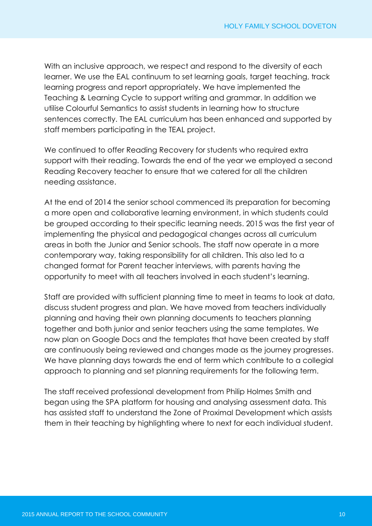With an inclusive approach, we respect and respond to the diversity of each learner. We use the EAL continuum to set learning goals, target teaching, track learning progress and report appropriately. We have implemented the Teaching & Learning Cycle to support writing and grammar. In addition we utilise Colourful Semantics to assist students in learning how to structure sentences correctly. The EAL curriculum has been enhanced and supported by staff members participating in the TEAL project.

We continued to offer Reading Recovery for students who required extra support with their reading. Towards the end of the year we employed a second Reading Recovery teacher to ensure that we catered for all the children needing assistance.

At the end of 2014 the senior school commenced its preparation for becoming a more open and collaborative learning environment, in which students could be grouped according to their specific learning needs. 2015 was the first year of implementing the physical and pedagogical changes across all curriculum areas in both the Junior and Senior schools. The staff now operate in a more contemporary way, taking responsibility for all children. This also led to a changed format for Parent teacher interviews, with parents having the opportunity to meet with all teachers involved in each student's learning.

Staff are provided with sufficient planning time to meet in teams to look at data, discuss student progress and plan. We have moved from teachers individually planning and having their own planning documents to teachers planning together and both junior and senior teachers using the same templates. We now plan on Google Docs and the templates that have been created by staff are continuously being reviewed and changes made as the journey progresses. We have planning days towards the end of term which contribute to a collegial approach to planning and set planning requirements for the following term.

The staff received professional development from Philip Holmes Smith and began using the SPA platform for housing and analysing assessment data. This has assisted staff to understand the Zone of Proximal Development which assists them in their teaching by highlighting where to next for each individual student.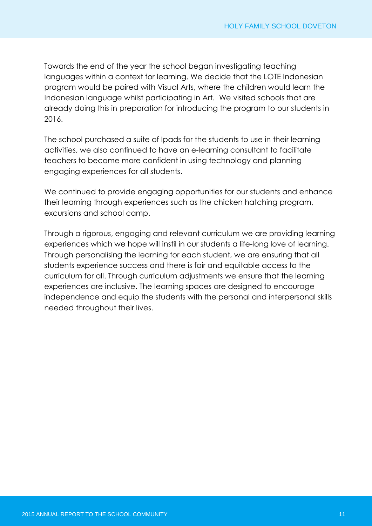Towards the end of the year the school began investigating teaching languages within a context for learning. We decide that the LOTE Indonesian program would be paired with Visual Arts, where the children would learn the Indonesian language whilst participating in Art. We visited schools that are already doing this in preparation for introducing the program to our students in 2016.

The school purchased a suite of Ipads for the students to use in their learning activities, we also continued to have an e-learning consultant to facilitate teachers to become more confident in using technology and planning engaging experiences for all students.

We continued to provide engaging opportunities for our students and enhance their learning through experiences such as the chicken hatching program, excursions and school camp.

Through a rigorous, engaging and relevant curriculum we are providing learning experiences which we hope will instil in our students a life-long love of learning. Through personalising the learning for each student, we are ensuring that all students experience success and there is fair and equitable access to the curriculum for all. Through curriculum adjustments we ensure that the learning experiences are inclusive. The learning spaces are designed to encourage independence and equip the students with the personal and interpersonal skills needed throughout their lives.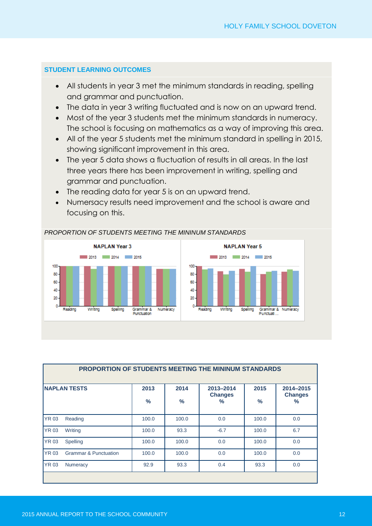#### **STUDENT LEARNING OUTCOMES**

- All students in year 3 met the minimum standards in reading, spelling and grammar and punctuation.
- The data in year 3 writing fluctuated and is now on an upward trend.
- Most of the year 3 students met the minimum standards in numeracy. The school is focusing on mathematics as a way of improving this area.
- All of the year 5 students met the minimum standard in spelling in 2015, showing significant improvement in this area.
- The year 5 data shows a fluctuation of results in all areas. In the last three years there has been improvement in writing, spelling and grammar and punctuation.
- The reading data for year 5 is on an upward trend.
- Numersacy results need improvement and the school is aware and focusing on this.



| PROPORTION OF STUDENTS MEETING THE MININUM STANDARDS |                                  |              |              |                                              |                       |                                  |
|------------------------------------------------------|----------------------------------|--------------|--------------|----------------------------------------------|-----------------------|----------------------------------|
|                                                      | <b>INAPLAN TESTS</b>             | 2013<br>$\%$ | 2014<br>$\%$ | 2013-2014<br><b>Changes</b><br>$\frac{9}{6}$ | 2015<br>$\frac{9}{6}$ | 2014-2015<br><b>Changes</b><br>% |
| <b>YR 03</b>                                         | Reading                          | 100.0        | 100.0        | 0.0                                          | 100.0                 | 0.0                              |
| <b>YR 03</b>                                         | Writing                          | 100.0        | 93.3         | $-6.7$                                       | 100.0                 | 6.7                              |
| <b>YR 03</b>                                         | Spelling                         | 100.0        | 100.0        | 0.0                                          | 100.0                 | 0.0                              |
| <b>YR 03</b>                                         | <b>Grammar &amp; Punctuation</b> | 100.0        | 100.0        | 0.0                                          | 100.0                 | 0.0                              |
| <b>YR 03</b>                                         | <b>Numeracy</b>                  | 92.9         | 93.3         | 0.4                                          | 93.3                  | 0.0                              |
|                                                      |                                  |              |              |                                              |                       |                                  |

#### *PROPORTION OF STUDENTS MEETING THE MININUM STANDARDS*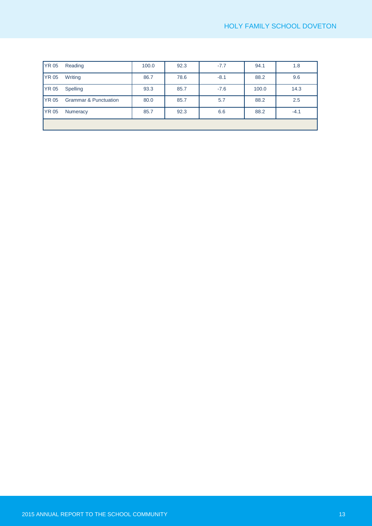| <b>YR 05</b> | Reading                          | 100.0 | 92.3 | $-7.7$ | 94.1  | 1.8    |
|--------------|----------------------------------|-------|------|--------|-------|--------|
| <b>YR 05</b> | Writing                          | 86.7  | 78.6 | $-8.1$ | 88.2  | 9.6    |
| <b>YR 05</b> | Spelling                         | 93.3  | 85.7 | $-7.6$ | 100.0 | 14.3   |
| <b>YR 05</b> | <b>Grammar &amp; Punctuation</b> | 80.0  | 85.7 | 5.7    | 88.2  | 2.5    |
| <b>YR 05</b> | Numeracy                         | 85.7  | 92.3 | 6.6    | 88.2  | $-4.1$ |
|              |                                  |       |      |        |       |        |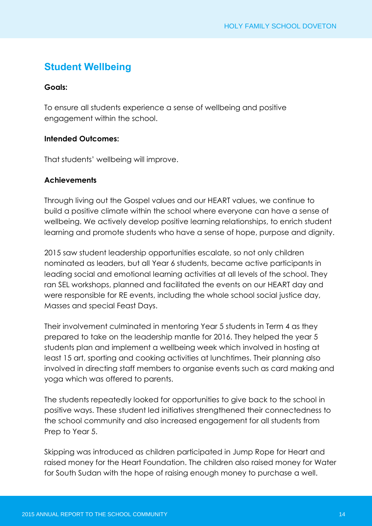# **Student Wellbeing**

### **Goals:**

To ensure all students experience a sense of wellbeing and positive engagement within the school.

### **Intended Outcomes:**

That students' wellbeing will improve.

### **Achievements**

Through living out the Gospel values and our HEART values, we continue to build a positive climate within the school where everyone can have a sense of wellbeing. We actively develop positive learning relationships, to enrich student learning and promote students who have a sense of hope, purpose and dignity.

2015 saw student leadership opportunities escalate, so not only children nominated as leaders, but all Year 6 students, became active participants in leading social and emotional learning activities at all levels of the school. They ran SEL workshops, planned and facilitated the events on our HEART day and were responsible for RE events, including the whole school social justice day, Masses and special Feast Days.

Their involvement culminated in mentoring Year 5 students in Term 4 as they prepared to take on the leadership mantle for 2016. They helped the year 5 students plan and implement a wellbeing week which involved in hosting at least 15 art, sporting and cooking activities at lunchtimes. Their planning also involved in directing staff members to organise events such as card making and yoga which was offered to parents.

The students repeatedly looked for opportunities to give back to the school in positive ways. These student led initiatives strengthened their connectedness to the school community and also increased engagement for all students from Prep to Year 5.

Skipping was introduced as children participated in Jump Rope for Heart and raised money for the Heart Foundation. The children also raised money for Water for South Sudan with the hope of raising enough money to purchase a well.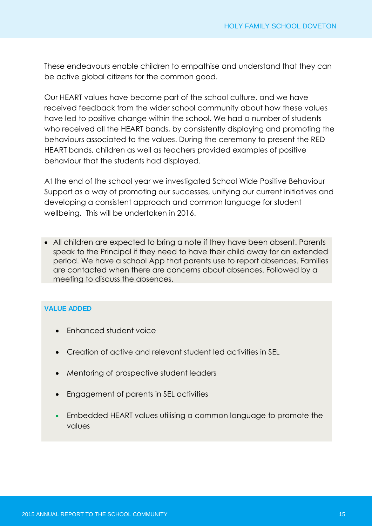These endeavours enable children to empathise and understand that they can be active global citizens for the common good.

Our HEART values have become part of the school culture, and we have received feedback from the wider school community about how these values have led to positive change within the school. We had a number of students who received all the HEART bands, by consistently displaying and promoting the behaviours associated to the values. During the ceremony to present the RED HEART bands, children as well as teachers provided examples of positive behaviour that the students had displayed.

At the end of the school year we investigated School Wide Positive Behaviour Support as a way of promoting our successes, unifying our current initiatives and developing a consistent approach and common language for student wellbeing. This will be undertaken in 2016.

 All children are expected to bring a note if they have been absent. Parents speak to the Principal if they need to have their child away for an extended period. We have a school App that parents use to report absences. Families are contacted when there are concerns about absences. Followed by a meeting to discuss the absences.

#### **VALUE ADDED**

- Enhanced student voice
- Creation of active and relevant student led activities in SEL
- Mentoring of prospective student leaders
- Engagement of parents in SEL activities
- Embedded HEART values utilising a common language to promote the values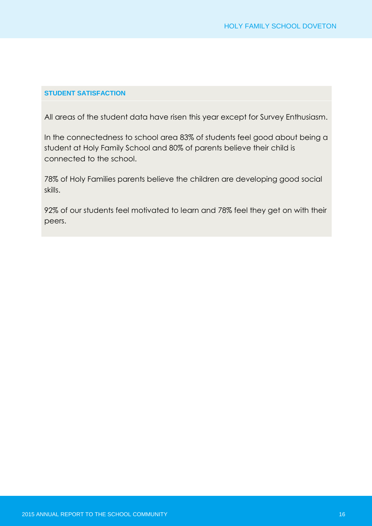#### **STUDENT SATISFACTION**

All areas of the student data have risen this year except for Survey Enthusiasm.

In the connectedness to school area 83% of students feel good about being a student at Holy Family School and 80% of parents believe their child is connected to the school.

78% of Holy Families parents believe the children are developing good social skills.

92% of our students feel motivated to learn and 78% feel they get on with their peers.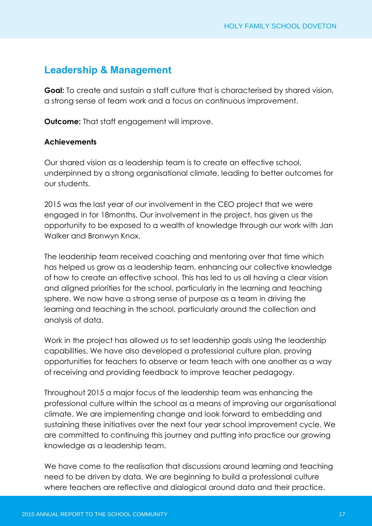### **Leadership & Management**

**Goal:** To create and sustain a staff culture that is characterised by shared vision, a strong sense of team work and a focus on continuous improvement.

**Outcome:** That staff engagement will improve.

### **Achievements**

Our shared vision as a leadership team is to create an effective school, underpinned by a strong organisational climate, leading to better outcomes for our students.

2015 was the last year of our involvement in the CEO project that we were engaged in for 18months. Our involvement in the project, has given us the opportunity to be exposed to a wealth of knowledge through our work with Jan Walker and Bronwyn Knox.

The leadership team received coaching and mentoring over that time which has helped us grow as a leadership team, enhancing our collective knowledge of how to create an effective school. This has led to us all having a clear vision and aligned priorities for the school, particularly in the learning and teaching sphere. We now have a strong sense of purpose as a team in driving the learning and teaching in the school, particularly around the collection and analysis of data.

Work in the project has allowed us to set leadership goals using the leadership capabilities. We have also developed a professional culture plan, proving opportunities for teachers to observe or team teach with one another as a way of receiving and providing feedback to improve teacher pedagogy.

Throughout 2015 a major focus of the leadership team was enhancing the professional culture within the school as a means of improving our organisational climate. We are implementing change and look forward to embedding and sustaining these initiatives over the next four year school improvement cycle. We are committed to continuing this journey and putting into practice our growing knowledge as a leadership team.

We have come to the realisation that discussions around learning and teaching need to be driven by data. We are beginning to build a professional culture where teachers are reflective and dialogical around data and their practice.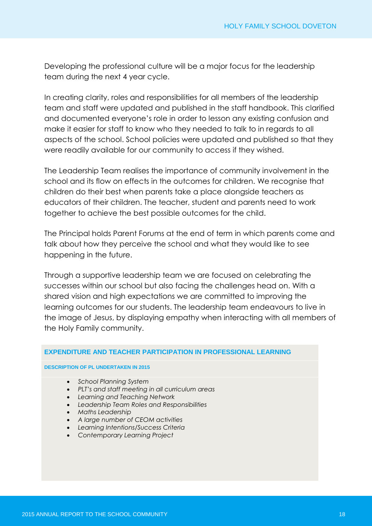Developing the professional culture will be a major focus for the leadership team during the next 4 year cycle.

In creating clarity, roles and responsibilities for all members of the leadership team and staff were updated and published in the staff handbook. This clarified and documented everyone's role in order to lesson any existing confusion and make it easier for staff to know who they needed to talk to in regards to all aspects of the school. School policies were updated and published so that they were readily available for our community to access if they wished.

The Leadership Team realises the importance of community involvement in the school and its flow on effects in the outcomes for children. We recognise that children do their best when parents take a place alongside teachers as educators of their children. The teacher, student and parents need to work together to achieve the best possible outcomes for the child.

The Principal holds Parent Forums at the end of term in which parents come and talk about how they perceive the school and what they would like to see happening in the future.

Through a supportive leadership team we are focused on celebrating the successes within our school but also facing the challenges head on. With a shared vision and high expectations we are committed to improving the learning outcomes for our students. The leadership team endeavours to live in the image of Jesus, by displaying empathy when interacting with all members of the Holy Family community.

#### **EXPENDITURE AND TEACHER PARTICIPATION IN PROFESSIONAL LEARNING**

#### **DESCRIPTION OF PL UNDERTAKEN IN 2015**

- *School Planning System*
- *PLT's and staff meeting in all curriculum areas*
- *Learning and Teaching Network*
- *Leadership Team Roles and Responsibilities*
- *Maths Leadership*
- *A large number of CEOM activities*
- *Learning Intentions/Success Criteria*
- *Contemporary Learning Project*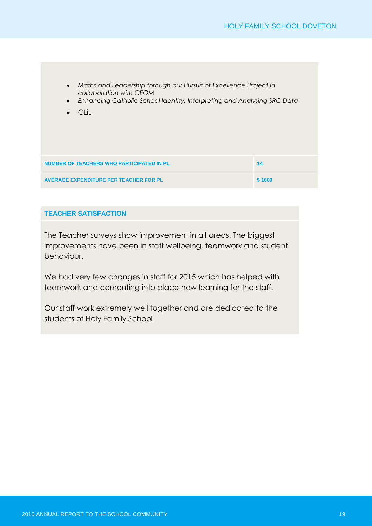- *Maths and Leadership through our Pursuit of Excellence Project in collaboration with CEOM*
- *Enhancing Catholic School Identity. Interpreting and Analysing SRC Data*
- CLiL

| NUMBER OF TEACHERS WHO PARTICIPATED IN PL     | -14    |
|-----------------------------------------------|--------|
| <b>AVERAGE EXPENDITURE PER TEACHER FOR PL</b> | \$1600 |
|                                               |        |

#### **TEACHER SATISFACTION**

The Teacher surveys show improvement in all areas. The biggest improvements have been in staff wellbeing, teamwork and student behaviour.

We had very few changes in staff for 2015 which has helped with teamwork and cementing into place new learning for the staff.

Our staff work extremely well together and are dedicated to the students of Holy Family School.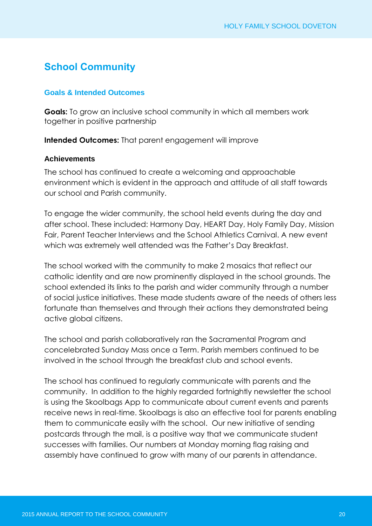# **School Community**

### **Goals & Intended Outcomes**

**Goals:** To grow an inclusive school community in which all members work together in positive partnership

**Intended Outcomes:** That parent engagement will improve

### **Achievements**

The school has continued to create a welcoming and approachable environment which is evident in the approach and attitude of all staff towards our school and Parish community.

To engage the wider community, the school held events during the day and after school. These included: Harmony Day, HEART Day, Holy Family Day, Mission Fair, Parent Teacher Interviews and the School Athletics Carnival. A new event which was extremely well attended was the Father's Day Breakfast.

The school worked with the community to make 2 mosaics that reflect our catholic identity and are now prominently displayed in the school grounds. The school extended its links to the parish and wider community through a number of social justice initiatives. These made students aware of the needs of others less fortunate than themselves and through their actions they demonstrated being active global citizens.

The school and parish collaboratively ran the Sacramental Program and concelebrated Sunday Mass once a Term. Parish members continued to be involved in the school through the breakfast club and school events.

The school has continued to regularly communicate with parents and the community. In addition to the highly regarded fortnightly newsletter the school is using the Skoolbags App to communicate about current events and parents receive news in real-time. Skoolbags is also an effective tool for parents enabling them to communicate easily with the school. Our new initiative of sending postcards through the mail, is a positive way that we communicate student successes with families. Our numbers at Monday morning flag raising and assembly have continued to grow with many of our parents in attendance.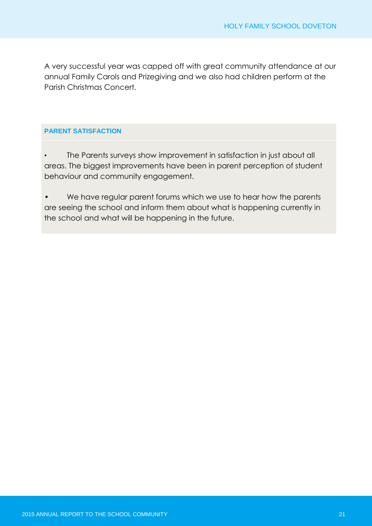A very successful year was capped off with great community attendance at our annual Family Carols and Prizegiving and we also had children perform at the Parish Christmas Concert.

#### **PARENT SATISFACTION**

• The Parents surveys show improvement in satisfaction in just about all areas. The biggest improvements have been in parent perception of student behaviour and community engagement.

• We have regular parent forums which we use to hear how the parents are seeing the school and inform them about what is happening currently in the school and what will be happening in the future.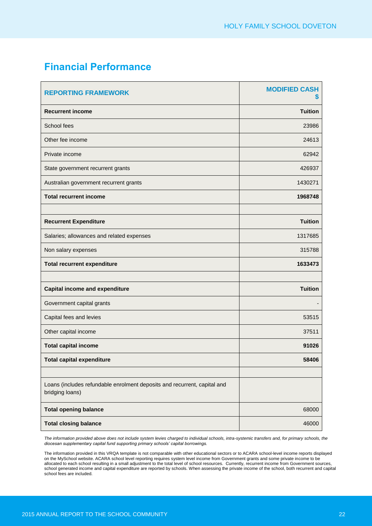# **Financial Performance**

| <b>REPORTING FRAMEWORK</b>                                                                  | <b>MODIFIED CASH</b><br>2 |
|---------------------------------------------------------------------------------------------|---------------------------|
| <b>Recurrent income</b>                                                                     | <b>Tuition</b>            |
| School fees                                                                                 | 23986                     |
| Other fee income                                                                            | 24613                     |
| Private income                                                                              | 62942                     |
| State government recurrent grants                                                           | 426937                    |
| Australian government recurrent grants                                                      | 1430271                   |
| <b>Total recurrent income</b>                                                               | 1968748                   |
|                                                                                             |                           |
| <b>Recurrent Expenditure</b>                                                                | <b>Tuition</b>            |
| Salaries; allowances and related expenses                                                   | 1317685                   |
| Non salary expenses                                                                         | 315788                    |
| <b>Total recurrent expenditure</b>                                                          | 1633473                   |
|                                                                                             |                           |
| <b>Capital income and expenditure</b>                                                       | <b>Tuition</b>            |
| Government capital grants                                                                   |                           |
| Capital fees and levies                                                                     | 53515                     |
| Other capital income                                                                        | 37511                     |
| <b>Total capital income</b>                                                                 | 91026                     |
| <b>Total capital expenditure</b>                                                            | 58406                     |
|                                                                                             |                           |
| Loans (includes refundable enrolment deposits and recurrent, capital and<br>bridging loans) |                           |
| <b>Total opening balance</b>                                                                | 68000                     |
| <b>Total closing balance</b>                                                                | 46000                     |

The information provided above does not include system levies charged to individual schools, intra-systemic transfers and, for primary schools, the *diocesan supplementary capital fund supporting primary schools' capital borrowings.* 

The information provided in this VRQA template is not comparable with other educational sectors or to ACARA school-level income reports displayed on the MySchool website. ACARA school level reporting requires system level income from Government grants and some private income to be allocated to each school resulting in a small adjustment to the total level of school resources. Currently, recurrent income from Government sources, school generated income and capital expenditure are reported by schools. When assessing the private income of the school, both recurrent and capital school fees are included.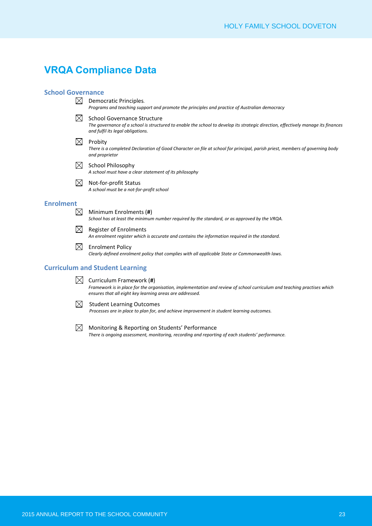### **VRQA Compliance Data**

#### **School Governance**

 $\boxtimes$  Democratic Principles.

*Programs and teaching support and promote the principles and practice of Australian democracy*

 $\boxtimes$  School Governance Structure

*The governance of a school is structured to enable the school to develop its strategic direction, effectively manage its finances and fulfil its legal obligations.*

- $\boxtimes$  Probity *There is a completed Declaration of Good Character on file at school for principal, parish priest, members of governing body and proprietor*
- $\boxtimes$  School Philosophy *A school must have a clear statement of its philosophy*
- $\boxtimes$  Not-for-profit Status *A school must be a not-for-profit school*

#### **Enrolment**

 $\boxtimes$  Minimum Enrolments (#) *School has at least the minimum number required by the standard, or as approved by the VRQA.*

- $\boxtimes$ Register of Enrolments *An enrolment register which is accurate and contains the information required in the standard.*
- $\boxtimes$ Enrolment Policy *Clearly defined enrolment policy that complies with all applicable State or Commonwealth laws.*

#### **Curriculum and Student Learning**

- $\boxtimes$  Curriculum Framework (#) *Framework is in place for the organisation, implementation and review of school curriculum and teaching practises which ensures that all eight key learning areas are addressed.*
- $\boxtimes$  Student Learning Outcomes

*Processes are in place to plan for, and achieve improvement in student learning outcomes.*

 $\boxtimes$  Monitoring & Reporting on Students' Performance *There is ongoing assessment, monitoring, recording and reporting of each students' performance.*